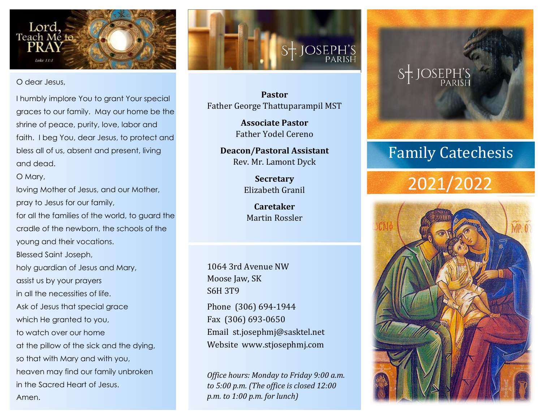

O dear Jesus,

I humbly implore You to grant Your special graces to our family. May our home be the shrine of peace, purity, love, labor and faith. I beg You, dear Jesus, to protect and bless all of us, absent and present, living and dead.

#### O Mary,

Amen.

loving Mother of Jesus, and our Mother, pray to Jesus for our family,

for all the families of the world, to guard the cradle of the newborn, the schools of the young and their vocations.

Blessed Saint Joseph,

holy guardian of Jesus and Mary, assist us by your prayers in all the necessities of life. Ask of Jesus that special grace which He granted to you, to watch over our home at the pillow of the sick and the dying,

so that with Mary and with you, heaven may find our family unbroken in the Sacred Heart of Jesus.

S<sup>+</sup>: JOSEPH'S

**Pastor** Father George Thattuparampil MST

> **Associate Pastor** Father Yodel Cereno

**Deacon/Pastoral Assistant** Rev. Mr. Lamont Dyck

> **Secretary** Elizabeth Granil

**Caretaker** Martin Rossler

1064 3rd Avenue NW Moose Jaw, SK S6H 3T9

Phone (306) 694-1944 Fax (306) 693-0650 Email st.josephmj@sasktel.net Website www.stjosephmj.com

*Office hours: Monday to Friday 9:00 a.m. to 5:00 p.m. (The office is closed 12:00 p.m. to 1:00 p.m. for lunch)*

# $S_T$ . JOSEPH'S

#### Family Catechesis

### 2021/2022